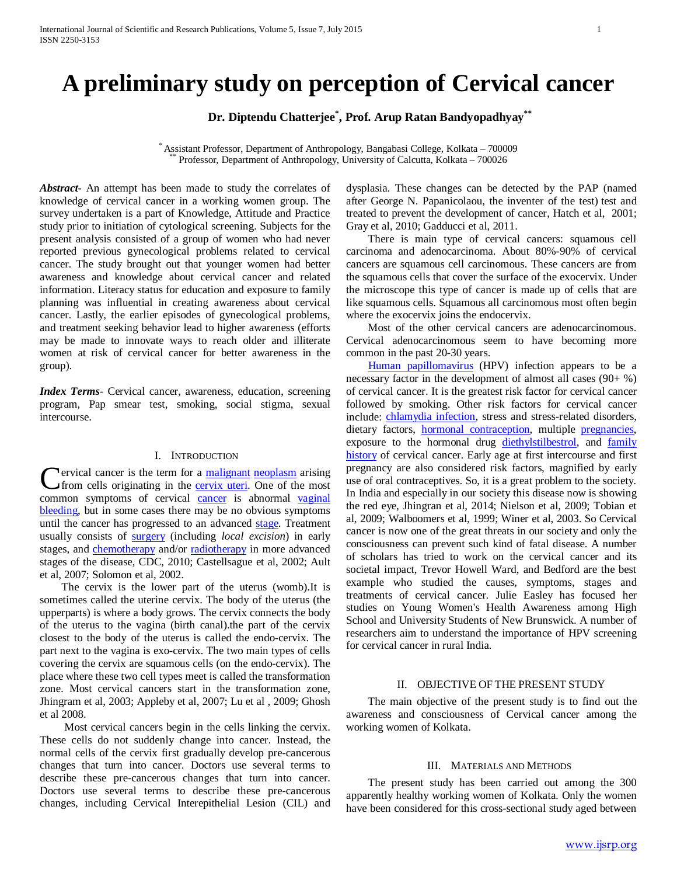# **A preliminary study on perception of Cervical cancer**

**Dr. Diptendu Chatterjee\* , Prof. Arup Ratan Bandyopadhyay\*\***

\* Assistant Professor, Department of Anthropology, Bangabasi College, Kolkata – <sup>700009</sup> \*\* Professor, Department of Anthropology, University of Calcutta, Kolkata – <sup>700026</sup>

*Abstract***-** An attempt has been made to study the correlates of knowledge of cervical cancer in a working women group. The survey undertaken is a part of Knowledge, Attitude and Practice study prior to initiation of cytological screening. Subjects for the present analysis consisted of a group of women who had never reported previous gynecological problems related to cervical cancer. The study brought out that younger women had better awareness and knowledge about cervical cancer and related information. Literacy status for education and exposure to family planning was influential in creating awareness about cervical cancer. Lastly, the earlier episodes of gynecological problems, and treatment seeking behavior lead to higher awareness (efforts may be made to innovate ways to reach older and illiterate women at risk of cervical cancer for better awareness in the group).

*Index Terms*- Cervical cancer, awareness, education, screening program, Pap smear test, smoking, social stigma, sexual intercourse.

## I. INTRODUCTION

**Tervical cancer is the term for a [malignant](http://en.wikipedia.org/wiki/Malignant) [neoplasm](http://en.wikipedia.org/wiki/Neoplasm) arising** from cells originating in the [cervix uteri.](http://en.wikipedia.org/wiki/Cervix_uteri) One of the most **C**ervical [cancer](http://en.wikipedia.org/wiki/Cancer) is the term for a <u>malignant neoplasm</u> arising<br>from cells originating in the <u>cervix uteri</u>. One of the most<br>common symptoms of cervical <u>cancer</u> is abnormal <u>vaginal</u> [bleeding,](http://en.wikipedia.org/wiki/Vaginal_bleeding) but in some cases there may be no obvious symptoms until the cancer has progressed to an advanced [stage.](http://en.wikipedia.org/wiki/Cancer_staging) Treatment usually consists of [surgery](http://en.wikipedia.org/wiki/Surgery) (including *local excision*) in early stages, and [chemotherapy](http://en.wikipedia.org/wiki/Chemotherapy) and/or [radiotherapy](http://en.wikipedia.org/wiki/Radiotherapy) in more advanced stages of the disease, CDC, 2010; Castellsague et al, 2002; Ault et al, 2007; Solomon et al, 2002.

 The cervix is the lower part of the uterus (womb).It is sometimes called the uterine cervix. The body of the uterus (the upperparts) is where a body grows. The cervix connects the body of the uterus to the vagina (birth canal).the part of the cervix closest to the body of the uterus is called the endo-cervix. The part next to the vagina is exo-cervix. The two main types of cells covering the cervix are squamous cells (on the endo-cervix). The place where these two cell types meet is called the transformation zone. Most cervical cancers start in the transformation zone, Jhingram et al, 2003; Appleby et al, 2007; Lu et al , 2009; Ghosh et al 2008.

 Most cervical cancers begin in the cells linking the cervix. These cells do not suddenly change into cancer. Instead, the normal cells of the cervix first gradually develop pre-cancerous changes that turn into cancer. Doctors use several terms to describe these pre-cancerous changes that turn into cancer. Doctors use several terms to describe these pre-cancerous changes, including Cervical Interepithelial Lesion (CIL) and dysplasia. These changes can be detected by the PAP (named after George N. Papanicolaou, the inventer of the test) test and treated to prevent the development of cancer, Hatch et al, 2001; Gray et al, 2010; Gadducci et al, 2011.

 There is main type of cervical cancers: squamous cell carcinoma and adenocarcinoma. About 80%-90% of cervical cancers are squamous cell carcinomous. These cancers are from the squamous cells that cover the surface of the exocervix. Under the microscope this type of cancer is made up of cells that are like squamous cells. Squamous all carcinomous most often begin where the exocervix joins the endocervix.

 Most of the other cervical cancers are adenocarcinomous. Cervical adenocarcinomous seem to have becoming more common in the past 20-30 years.

 [Human papillomavirus](http://en.wikipedia.org/wiki/Human_papillomavirus) (HPV) infection appears to be a necessary factor in the development of almost all cases (90+ %) of cervical cancer. It is the greatest risk factor for cervical cancer followed by smoking. Other risk factors for cervical cancer include: [chlamydia infection,](http://en.wikipedia.org/wiki/Chlamydia_infection) stress and stress-related disorders, dietary factors, **hormonal contraception**, multiple **pregnancies**, exposure to the hormonal drug [diethylstilbestrol,](http://en.wikipedia.org/wiki/Diethylstilbestrol) and family [history](http://en.wikipedia.org/wiki/Family_history) of cervical cancer. Early age at first intercourse and first pregnancy are also considered risk factors, magnified by early use of oral contraceptives. So, it is a great problem to the society. In India and especially in our society this disease now is showing the red eye, Jhingran et al, 2014; Nielson et al, 2009; Tobian et al, 2009; Walboomers et al, 1999; Winer et al, 2003. So Cervical cancer is now one of the great threats in our society and only the consciousness can prevent such kind of fatal disease. A number of scholars has tried to work on the cervical cancer and its societal impact, Trevor Howell Ward, and Bedford are the best example who studied the causes, symptoms, stages and treatments of cervical cancer. Julie Easley has focused her studies on Young Women's Health Awareness among High School and University Students of New Brunswick. A number of researchers aim to understand the importance of HPV screening for cervical cancer in rural India.

### II. OBJECTIVE OF THE PRESENT STUDY

 The main objective of the present study is to find out the awareness and consciousness of Cervical cancer among the working women of Kolkata.

#### III. MATERIALS AND METHODS

 The present study has been carried out among the 300 apparently healthy working women of Kolkata. Only the women have been considered for this cross-sectional study aged between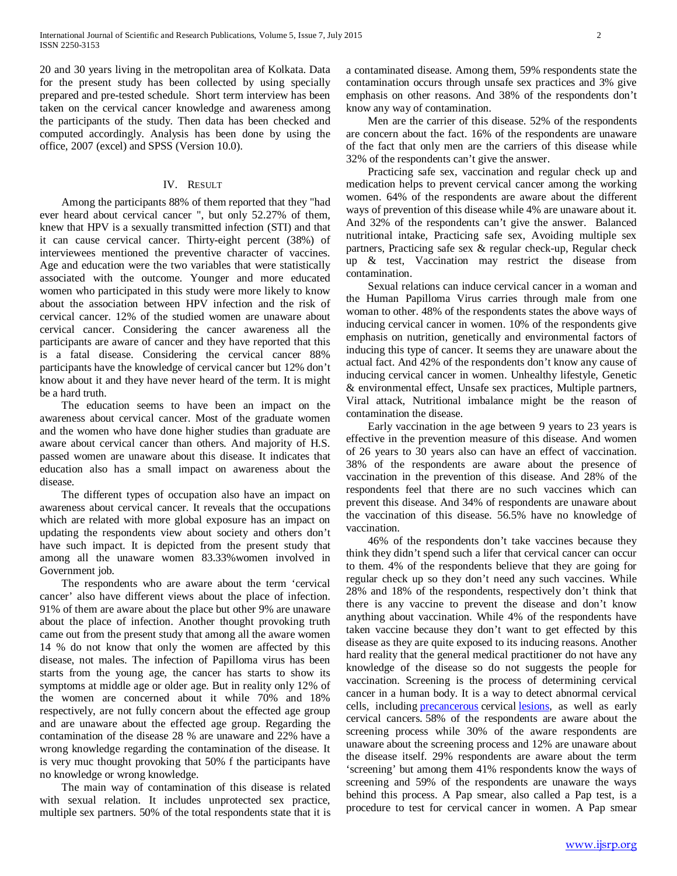20 and 30 years living in the metropolitan area of Kolkata. Data for the present study has been collected by using specially prepared and pre-tested schedule. Short term interview has been taken on the cervical cancer knowledge and awareness among the participants of the study. Then data has been checked and computed accordingly. Analysis has been done by using the office, 2007 (excel) and SPSS (Version 10.0).

### IV. RESULT

 Among the participants 88% of them reported that they "had ever heard about cervical cancer ", but only 52.27% of them, knew that HPV is a sexually transmitted infection (STI) and that it can cause cervical cancer. Thirty-eight percent (38%) of interviewees mentioned the preventive character of vaccines. Age and education were the two variables that were statistically associated with the outcome. Younger and more educated women who participated in this study were more likely to know about the association between HPV infection and the risk of cervical cancer. 12% of the studied women are unaware about cervical cancer. Considering the cancer awareness all the participants are aware of cancer and they have reported that this is a fatal disease. Considering the cervical cancer 88% participants have the knowledge of cervical cancer but 12% don't know about it and they have never heard of the term. It is might be a hard truth.

 The education seems to have been an impact on the awareness about cervical cancer. Most of the graduate women and the women who have done higher studies than graduate are aware about cervical cancer than others. And majority of H.S. passed women are unaware about this disease. It indicates that education also has a small impact on awareness about the disease.

 The different types of occupation also have an impact on awareness about cervical cancer. It reveals that the occupations which are related with more global exposure has an impact on updating the respondents view about society and others don't have such impact. It is depicted from the present study that among all the unaware women 83.33%women involved in Government job.

 The respondents who are aware about the term 'cervical cancer' also have different views about the place of infection. 91% of them are aware about the place but other 9% are unaware about the place of infection. Another thought provoking truth came out from the present study that among all the aware women 14 % do not know that only the women are affected by this disease, not males. The infection of Papilloma virus has been starts from the young age, the cancer has starts to show its symptoms at middle age or older age. But in reality only 12% of the women are concerned about it while 70% and 18% respectively, are not fully concern about the effected age group and are unaware about the effected age group. Regarding the contamination of the disease 28 % are unaware and 22% have a wrong knowledge regarding the contamination of the disease. It is very muc thought provoking that 50% f the participants have no knowledge or wrong knowledge.

 The main way of contamination of this disease is related with sexual relation. It includes unprotected sex practice, multiple sex partners. 50% of the total respondents state that it is a contaminated disease. Among them, 59% respondents state the contamination occurs through unsafe sex practices and 3% give emphasis on other reasons. And 38% of the respondents don't know any way of contamination.

 Men are the carrier of this disease. 52% of the respondents are concern about the fact. 16% of the respondents are unaware of the fact that only men are the carriers of this disease while 32% of the respondents can't give the answer.

 Practicing safe sex, vaccination and regular check up and medication helps to prevent cervical cancer among the working women. 64% of the respondents are aware about the different ways of prevention of this disease while 4% are unaware about it. And 32% of the respondents can't give the answer. Balanced nutritional intake, Practicing safe sex, Avoiding multiple sex partners, Practicing safe sex & regular check-up, Regular check up & test, Vaccination may restrict the disease from contamination.

 Sexual relations can induce cervical cancer in a woman and the Human Papilloma Virus carries through male from one woman to other. 48% of the respondents states the above ways of inducing cervical cancer in women. 10% of the respondents give emphasis on nutrition, genetically and environmental factors of inducing this type of cancer. It seems they are unaware about the actual fact. And 42% of the respondents don't know any cause of inducing cervical cancer in women. Unhealthy lifestyle, Genetic & environmental effect, Unsafe sex practices, Multiple partners, Viral attack, Nutritional imbalance might be the reason of contamination the disease.

 Early vaccination in the age between 9 years to 23 years is effective in the prevention measure of this disease. And women of 26 years to 30 years also can have an effect of vaccination. 38% of the respondents are aware about the presence of vaccination in the prevention of this disease. And 28% of the respondents feel that there are no such vaccines which can prevent this disease. And 34% of respondents are unaware about the vaccination of this disease. 56.5% have no knowledge of vaccination.

 46% of the respondents don't take vaccines because they think they didn't spend such a lifer that cervical cancer can occur to them. 4% of the respondents believe that they are going for regular check up so they don't need any such vaccines. While 28% and 18% of the respondents, respectively don't think that there is any vaccine to prevent the disease and don't know anything about vaccination. While 4% of the respondents have taken vaccine because they don't want to get effected by this disease as they are quite exposed to its inducing reasons. Another hard reality that the general medical practitioner do not have any knowledge of the disease so do not suggests the people for vaccination. Screening is the process of determining cervical cancer in a human body. It is a way to detect abnormal cervical cells, including [precancerous](http://www.cancer.gov/Common/PopUps/popDefinition.aspx?id=CDR0000046220&version=Patient&language=English) cervical [lesions,](http://www.cancer.gov/Common/PopUps/popDefinition.aspx?id=CDR0000046324&version=Patient&language=English) as well as early cervical cancers. 58% of the respondents are aware about the screening process while 30% of the aware respondents are unaware about the screening process and 12% are unaware about the disease itself. 29% respondents are aware about the term 'screening' but among them 41% respondents know the ways of screening and 59% of the respondents are unaware the ways behind this process. A Pap smear, also called a Pap test, is a procedure to test for cervical cancer in women. A Pap smear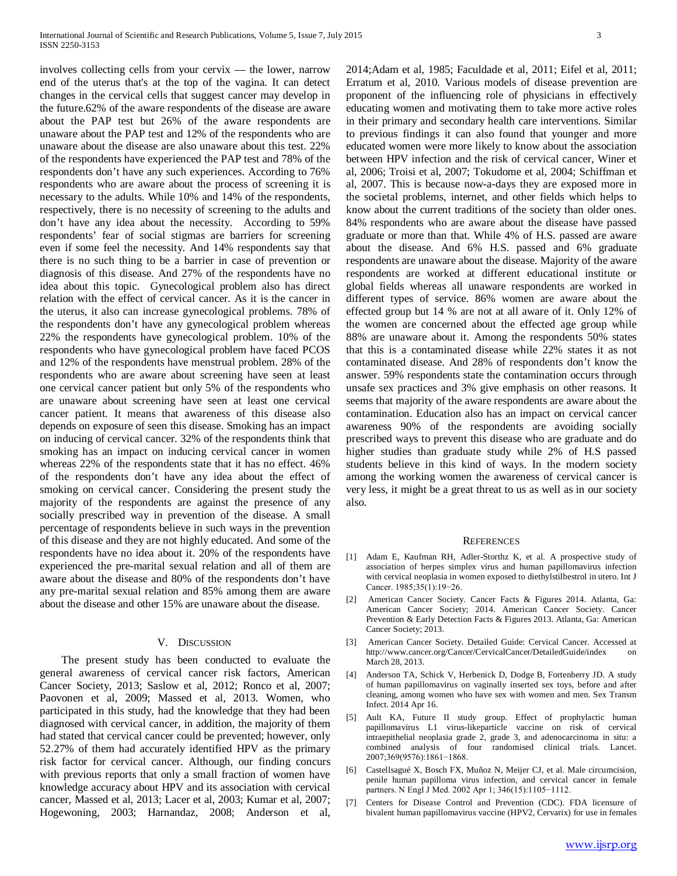involves collecting cells from your cervix — the lower, narrow end of the uterus that's at the top of the vagina. It can detect changes in the cervical cells that suggest cancer may develop in the future.62% of the aware respondents of the disease are aware about the PAP test but 26% of the aware respondents are unaware about the PAP test and 12% of the respondents who are unaware about the disease are also unaware about this test. 22% of the respondents have experienced the PAP test and 78% of the respondents don't have any such experiences. According to 76% respondents who are aware about the process of screening it is necessary to the adults. While 10% and 14% of the respondents, respectively, there is no necessity of screening to the adults and don't have any idea about the necessity. According to 59% respondents' fear of social stigmas are barriers for screening even if some feel the necessity. And 14% respondents say that there is no such thing to be a barrier in case of prevention or diagnosis of this disease. And 27% of the respondents have no idea about this topic. Gynecological problem also has direct relation with the effect of cervical cancer. As it is the cancer in the uterus, it also can increase gynecological problems. 78% of the respondents don't have any gynecological problem whereas 22% the respondents have gynecological problem. 10% of the respondents who have gynecological problem have faced PCOS and 12% of the respondents have menstrual problem. 28% of the respondents who are aware about screening have seen at least one cervical cancer patient but only 5% of the respondents who are unaware about screening have seen at least one cervical cancer patient. It means that awareness of this disease also depends on exposure of seen this disease. Smoking has an impact on inducing of cervical cancer. 32% of the respondents think that smoking has an impact on inducing cervical cancer in women whereas 22% of the respondents state that it has no effect. 46% of the respondents don't have any idea about the effect of smoking on cervical cancer. Considering the present study the majority of the respondents are against the presence of any socially prescribed way in prevention of the disease. A small percentage of respondents believe in such ways in the prevention of this disease and they are not highly educated. And some of the respondents have no idea about it. 20% of the respondents have experienced the pre-marital sexual relation and all of them are aware about the disease and 80% of the respondents don't have any pre-marital sexual relation and 85% among them are aware about the disease and other 15% are unaware about the disease.

## V. DISCUSSION

 The present study has been conducted to evaluate the general awareness of cervical cancer risk factors, American Cancer Society, 2013; Saslow et al, 2012; Ronco et al, 2007; Paovonen et al, 2009; Massed et al, 2013. Women, who participated in this study, had the knowledge that they had been diagnosed with cervical cancer, in addition, the majority of them had stated that cervical cancer could be prevented; however, only 52.27% of them had accurately identified HPV as the primary risk factor for cervical cancer. Although, our finding concurs with previous reports that only a small fraction of women have knowledge accuracy about HPV and its association with cervical cancer, Massed et al, 2013; Lacer et al, 2003; Kumar et al, 2007; Hogewoning, 2003; Harnandaz, 2008; Anderson et al,

2014;Adam et al, 1985; Faculdade et al, 2011; Eifel et al, 2011; Erratum et al, 2010. Various models of disease prevention are proponent of the influencing role of physicians in effectively educating women and motivating them to take more active roles in their primary and secondary health care interventions. Similar to previous findings it can also found that younger and more educated women were more likely to know about the association between HPV infection and the risk of cervical cancer, Winer et al, 2006; Troisi et al, 2007; Tokudome et al, 2004; Schiffman et al, 2007. This is because now-a-days they are exposed more in the societal problems, internet, and other fields which helps to know about the current traditions of the society than older ones. 84% respondents who are aware about the disease have passed graduate or more than that. While 4% of H.S. passed are aware about the disease. And 6% H.S. passed and 6% graduate respondents are unaware about the disease. Majority of the aware respondents are worked at different educational institute or global fields whereas all unaware respondents are worked in different types of service. 86% women are aware about the effected group but 14 % are not at all aware of it. Only 12% of the women are concerned about the effected age group while 88% are unaware about it. Among the respondents 50% states that this is a contaminated disease while 22% states it as not contaminated disease. And 28% of respondents don't know the answer. 59% respondents state the contamination occurs through unsafe sex practices and 3% give emphasis on other reasons. It seems that majority of the aware respondents are aware about the contamination. Education also has an impact on cervical cancer awareness 90% of the respondents are avoiding socially prescribed ways to prevent this disease who are graduate and do higher studies than graduate study while 2% of H.S passed students believe in this kind of ways. In the modern society among the working women the awareness of cervical cancer is very less, it might be a great threat to us as well as in our society also.

#### **REFERENCES**

- [1] Adam E, Kaufman RH, Adler-Storthz K, et al. A prospective study of association of herpes simplex virus and human papillomavirus infection with cervical neoplasia in women exposed to diethylstilbestrol in utero. Int J Cancer. 1985;35(1):19−26.
- [2] American Cancer Society. Cancer Facts & Figures 2014. Atlanta, Ga: American Cancer Society; 2014. American Cancer Society. Cancer Prevention & Early Detection Facts & Figures 2013. Atlanta, Ga: American Cancer Society; 2013.
- [3] American Cancer Society. Detailed Guide: Cervical Cancer. Accessed at http://www.cancer.org/Cancer/CervicalCancer/DetailedGuide/index on March 28, 2013.
- [4] Anderson TA, Schick V, Herbenick D, Dodge B, Fortenberry JD. A study of human papillomavirus on vaginally inserted sex toys, before and after cleaning, among women who have sex with women and men. Sex Transm Infect. 2014 Apr 16.
- [5] Ault KA, Future II study group. Effect of prophylactic human papillomavirus L1 virus-likeparticle vaccine on risk of cervical intraepithelial neoplasia grade 2, grade 3, and adenocarcinoma in situ: a combined analysis of four randomised clinical trials. Lancet. 2007;369(9576):1861−1868.
- [6] Castellsagué X, Bosch FX, Muñoz N, Meijer CJ, et al. Male circumcision, penile human papilloma virus infection, and cervical cancer in female partners. N Engl J Med. 2002 Apr 1; 346(15):1105−1112.
- Centers for Disease Control and Prevention (CDC). FDA licensure of bivalent human papillomavirus vaccine (HPV2, Cervarix) for use in females